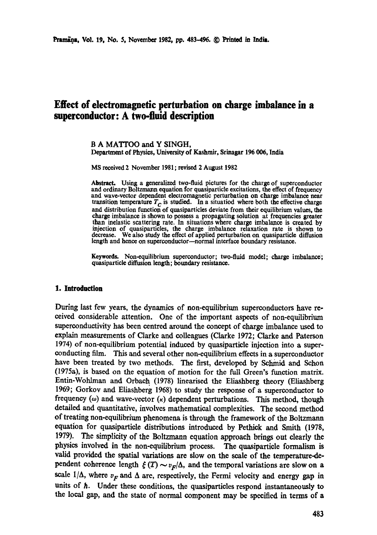# **Effect of electromagnetic perturbation on charge imbalance in a superconductor: A two-fluid description**

**B A** MATTOO and **Y SINGH,**  Depaxtmant of Physics, University of Kashmir, Srinagar 196 006, India

MS received 2 November 1981; revised 2 August 1982

**Abstract.** Using a generalized two-fluid pictures for the charge of superconductor and ordinary Boltzmann equation for quasiparticle excitations, the effect of frequency and wave-vector dependent electromagnetic perturbation on charge imbalance near transition temperature  $T_c$  is studied. In a situatiod where both the effective charge and distribution function of quasiparticles deviate from their equilibrium values, the charge imbalance is shown to possess a propagating solution at frequencies greater than inelastic scattering rate. In situations where charge imbalance is created by injection of quasiparticles, the charge imbalance relaxation rate is shown to decrease. We also study the effect of applied perturbation on quasiparticle diffusion length and hence on superconductor--normal interface boundary resistance.

**Keywords.** Non-equilibrium superconductor; two-fluid model; charge imbalance:; quasiparticle diffusion length; boundary resistance.

## **1. Introduction**

During last few years, the dynamics of non-equilibrium superconductors have received considerable attention. One of the important aspects of non-eqmlibrimn superconductivity has been centred around the concept of charge imbalance used to explain measurements of Clarke and colleagues (Clarke 1972; Clarke and Paterson 1974) of non-equilibrium potemial induced by quasiparticle injection into a superconducting film. This and several other non-equilibrium effects in a superconductor have been treated by two methods. The first, developed by Schmid and Schon (1975a), is based on the equation of motion for the full Green's function matrix. Entin-Wohlman and Orbach (1978) linearised the Eliashberg theory (Eliashberg 1969; Gorkov and Eliashberg 1968) to study the response of a superconductor to frequency  $(\omega)$  and wave-vector  $(\kappa)$  dependent perturbations. This method, though detailed and quantitative, involves mathematical complexities. The second method of treating non-equilibrium phenomena is through the framework of the Boltzmann equation for quasiparticle distributions introduced by Pethick and Smith (1978, 1979). The simplicity of the Boltzmann equation approach brings out clearly the physics involved in the non-equilibrium process. The quasiparticle formalism is valid provided the spatial variations are slow on the scale of the temperature-dependent coherence length  $\zeta(T) \sim v_F/\Delta$ , and the temporal variations are slow on a scale  $1/\Delta$ , where  $v_F$  and  $\Delta$  are, respectively, the Fermi velocity and energy gap in units of  $\hbar$ . Under these conditions, the quasiparticles respond instantaneously to the local gap, and the state of normal component may be specified in terms of a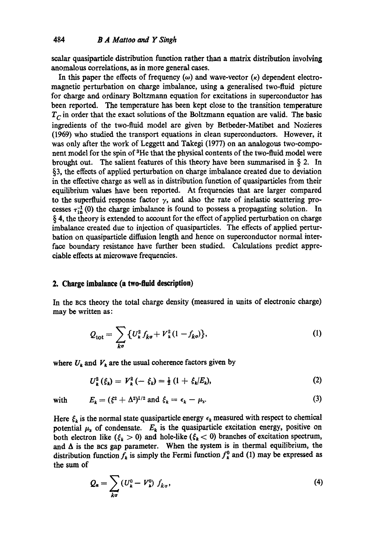scalar quasiparticle distribution function rather than a matrix distribution involving anomalous correlations, as in more general cases.

In this paper the effects of frequency  $(\omega)$  and wave-vector  $(\kappa)$  dependent electromagnetic perturbation on charge imbalance, using a generalised two-fluid picture for charge and ordinary Boltzmann equation for excitations in superconductor has been reported. The temperature has been kept close to the transition temperature  $T_c$  in order that the exact solutions of the Boltzmann equation are valid. The basic ingredients of the two-fluid model are given by Betbeder-Matibet and Nozieres (1969) who studied the transport equations in clean superconductors. However, it was only after the work of Leggett and Takegi (1977) on an analogous two-component model for the spin of 3He that the physical contents of the two-fluid model were brought out. The salient features of this theory have been summarised in  $\S$  2. In §3, the effects of applied perturbation on charge imbalance created due to deviation in the effective charge as well as in distribution function of quasiparticles from their equilibrium values have been reported. At frequencies that are larger compared to the superfluid response factor  $\gamma$ , and also the rate of inelastic scattering processes  $\tau_{10}^{-1}(0)$  the charge imbalance is found to possess a propagating solution. In § 4, the theory is extended to account for the effect of applied perturbation on charge imbalance created due to injection of quasiparticles. The effects of applied perturbation on quasiparticle diffusion length and hence on superconductor normal interface boundary resistance have further been studied. Calculations predict appreciable effects at microwave frequencies.

#### **2. Charge imbalance (a two-fluid description)**

In the BCS theory the total charge density (measured in units of electronic charge) may be written as:

$$
Q_{\text{tot}} = \sum_{k\sigma} \{ U_k^2 f_{k\sigma} + V_k^2 (1 - f_{k\sigma}) \}, \tag{1}
$$

where  $U_k$  and  $V_k$  are the usual coherence factors given by

$$
U_k^2(\xi_k) = V_k^2(-\xi_k) = \frac{1}{2}(1+\xi_k/E_k), \qquad (2)
$$

with 
$$
E_k = (\xi^2 + \Delta^2)^{1/2} \text{ and } \xi_k = \epsilon_k - \mu_s. \tag{3}
$$

Here  $\xi_k$  is the normal state quasiparticle energy  $\epsilon_k$  measured with respect to chemical potential  $\mu_s$  of condensate.  $E_k$  is the quasiparticle excitation energy, positive on both electron like  $(\xi_k > 0)$  and hole-like  $(\xi_k < 0)$  branches of excitation spectrum, and  $\Delta$  is the BCS gap parameter. When the system is in thermal equilibrium, the distribution function  $f_k$  is simply the Fermi function  $f_k^0$  and (1) may be expressed as **the** sum of

$$
Q_{\mathbf{a}} = \sum_{k\sigma} \left( U_{k}^{0} - V_{k}^{0} \right) f_{k\sigma}, \tag{4}
$$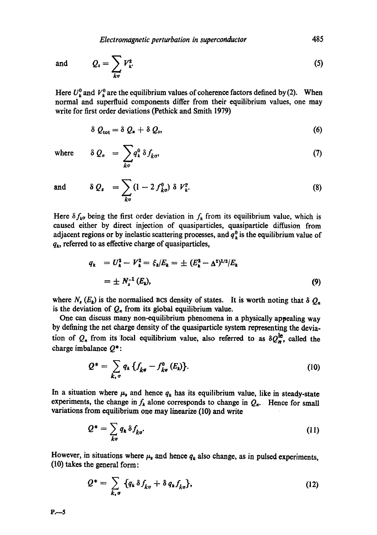*Electromagnetic perturbation in superconductor*  $485$ 

and 
$$
Q_s = \sum_{k\sigma} V_{k}^2.
$$
 (5)

Here  $U_k^0$  and  $V_k^0$  are the equilibrium values of coherence factors defined by (2). When normal and superfluid components differ from their equilibrium values, one may write for first order deviations (Pethick and Smith 1979)

$$
\delta Q_{\rm tot} = \delta Q_{\rm s} + \delta Q_{\rm s}, \tag{6}
$$

where  $\delta Q_n = \int q_k^{\circ} \delta f_{k\sigma}$ , (7) ko

and 
$$
\delta Q_s = \sum_{k\sigma} (1 - 2 f_{k\sigma}^0) \delta V_k^2.
$$
 (8)

Here  $\delta f_{k\sigma}$  being the first order deviation in  $f_k$  from its equilibrium value, which is caused either by direct injection of quasiparticles, quasiparticle diffusion from adjacent regions or by inelastic scattering processes, and  $q_k^0$  is the equilibrium value of  $q_k$ , referred to as effective charge of quasiparticles,

$$
q_k = U_k^2 - V_k^2 = \xi_k / E_k = \pm (E_k^2 - \Delta^2)^{1/2} / E_k
$$
  
=  $\pm N_s^{-1} (E_k)$ , (9)

where  $N_s(E_k)$  is the normalised BCS density of states. It is worth noting that  $\delta Q_n$ is the deviation of  $Q_n$  from its global equilibrium value.

One can discuss many non-equilibrium phenomena in a physically appealing way by defining the net charge density of the quasiparticle system representing the deviation of  $Q_n$  from its local equilibrium value, also referred to as  $\delta Q_n^{\text{le}}$ , called the charge imbalance  $Q^*$ :

$$
Q^* = \sum_{k,\,\sigma} q_k \left\{ f_{k\sigma} - f_{k\sigma}^0 \left( E_k \right) \right\}.
$$
 (10)

In a situation where  $\mu_s$  and hence  $q_k$  has its equilibrium value, like in steady-state experiments, the change in  $f_k$  alone corresponds to change in  $Q_n$ . Hence for small variations from equilibrium one may linearize (10) and write

$$
Q^* = \sum_{k\sigma} q_k \,\delta f_{k\sigma}.\tag{11}
$$

However, in situations where  $\mu_s$  and hence  $q_k$  also change, as in pulsed experiments, (10) takes the general form:

$$
Q^* = \sum_{k,\sigma} \{q_k \delta f_{k\sigma} + \delta q_k f_{k\sigma} \}, \tag{12}
$$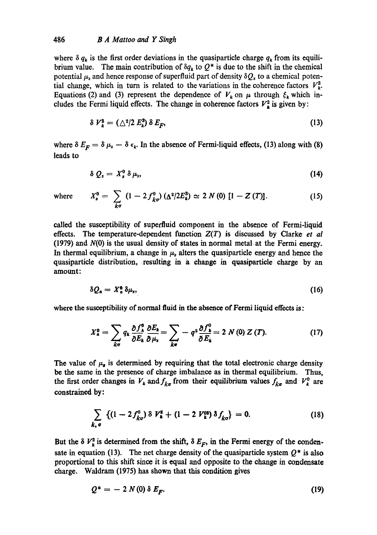### 486 *B A Mattoo and Y Singh*

where  $\delta q_k$  is the first order deviations in the quasiparticle charge  $q_k$  from its equilibrium value. The main contribution of  $\delta q_k$  to  $Q^*$  is due to the shift in the chemical potential  $\mu_s$  and hence response of superfluid part of density  $\delta Q_s$  to a chemical potential change, which in turn is related to the variations in the coherence factors  $V<sub>k</sub><sup>2</sup>$ . Equations (2) and (3) represent the dependence of  $V_k$  on  $\mu$  through  $\xi_k$  which includes the Fermi liquid effects. The change in coherence factors  $V^2_{\mathbf{k}}$  is given by:

$$
\delta V_k^2 = (\triangle^2/2 E_k^3) \delta E_F, \qquad (13)
$$

where  $\delta E_F = \delta \mu_s - \delta \epsilon_k$ . In the absence of Fermi-liquid effects, (13) along with (8) leads to

$$
\delta\ Q_s = X_s^0\ \delta\ \mu_s,\tag{14}
$$

where 
$$
X_s^0 = \sum_{k\sigma} (1 - 2f_{k\sigma}^0) (\Delta^2/2E_k^3) \simeq 2 N(0) [1 - Z(T)].
$$
 (15)

called the susceptibility of supeffluid component in the absence of Fermi-liquid effects. The temperature-dependent function *Z(T)* is discussed by Clarke *et al*   $(1979)$  and  $N(0)$  is the usual density of states in normal metal at the Fermi energy. In thermal equilibrium, a change in  $\mu_{s}$  alters the quasiparticle energy and hence the quasiparticle distribution, resulting in a change in quasiparticle charge by an amount:

$$
\delta Q_n = X_n^{\theta} \, \delta \mu_s, \tag{16}
$$

where the susceptibility of normal fluid in the absence of Fermi liquid effects is:

$$
X_{\kappa}^{0} = \sum_{k\sigma} q_{k} \frac{\partial f_{k}^{0}}{\partial E_{k}} \frac{\partial E_{k}}{\partial \mu_{s}} = \sum_{k\sigma} -q^{2} \frac{\partial f_{k}^{0}}{\partial E_{k}} = 2 N(0) Z(T). \qquad (17)
$$

The value of  $\mu_{s}$  is determined by requiring that the total electronic charge density be the same in the presence of charge imbalance as in thermal equilibrium. Thus, the first order changes in  $V_k$  and  $f_{kq}$  from their equilibrium values  $f_{kq}$  and  $V_k^0$  are constrained by:

$$
\sum_{k,\,\sigma} \, \left\{ (1-2\,f_{k\sigma}^0) \,\delta \, V_k^2 + (1-2\,V_k^{03}) \,\delta \, f_{k\sigma} \right\} \, = \, 0. \tag{18}
$$

But the  $\delta V_k^2$  is determined from the shift,  $\delta E_F$ , in the Fermi energy of the condensate in equation (13). The net charge density of the quasiparticle system  $Q^*$  is also proportional to this shift since it is equal and opposite to the change in condensate charge. Waldram (1975) has shown that this condition gives

$$
Q^* = -2 N(0) \delta E_F. \tag{19}
$$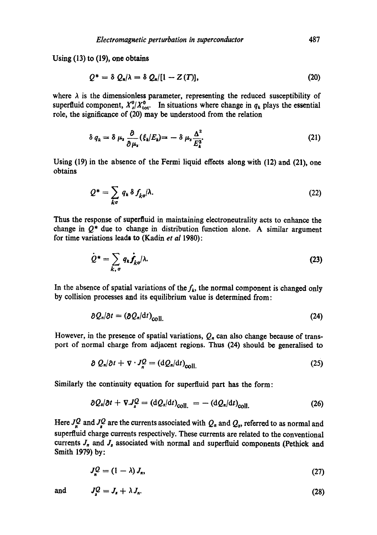Using (13) to (19), one obtains

$$
Q^* = \delta Q_n/\lambda = \delta Q_n/[1 - Z(T)], \qquad (20)
$$

where  $\lambda$  is the dimensionless parameter, representing the reduced susceptibility of superfluid component,  $X_s^0/X_{\text{tot}}^0$ . In situations where change in  $q_k$  plays the essential role, the significance of (20) may be understood from the relation

$$
\delta q_k = \delta \mu_s \frac{\partial}{\partial \mu_s} (\xi_k | E_k) = -\delta \mu_s \frac{\Delta^2}{E_k^3}.
$$
 (21)

Using (19) in the absence of the Fermi liquid effects along with (12) and (21), one obtains

$$
Q^* = \sum_{k\sigma} q_k \,\delta \, f_{k\sigma} / \lambda. \tag{22}
$$

Thus the response of superfluid in maintaining eleotroneutrality acts to enhance the change in  $Q^*$  due to change in distribution function alone. A similar argument for time variations lead, to (Kadin *et al* 1980):

$$
\dot{Q}^* = \sum_{k,\,\sigma} q_k \dot{f}_{k\sigma} / \lambda. \tag{23}
$$

In the absence of spatial variations of the  $f<sub>k</sub>$ , the normal component is changed only by collision processes and its equilibrium value is determined from:

$$
\partial Q_n/\partial t = (\partial Q_n/\mathrm{d}t)_{\text{coll.}} \tag{24}
$$

However, in the presence of spatial variations,  $Q_n$  can also change because of transport of normal charge from adjacent regions. Thus (24) should be generalised to

$$
\partial Q_n/\partial t + \nabla \cdot J_n^Q = (\mathrm{d}Q_n/\mathrm{d}t)_{\text{coll.}} \tag{25}
$$

Similarly the continuity equation for superfluid part has the form:

$$
\partial Q_s/\partial t + \nabla J_s^Q = (dQ_s/dt)_{\text{coll.}} = -(dQ_s/dt)_{\text{coll.}} \tag{26}
$$

Here  $J_{n}^{Q}$  and  $J_{n}^{Q}$  are the currents associated with  $Q_{n}$  and  $Q_{s}$ , referred to as normal and superfluid charge currents respectively. These currents are related to the conventional currents  $J_n$  and  $J_s$  associated with normal and superfluid components (Pethick and Smith 1979) by:

$$
J_n^Q = (1 - \lambda) J_n,\tag{27}
$$

and 
$$
J_s^Q = J_s + \lambda J_n. \tag{28}
$$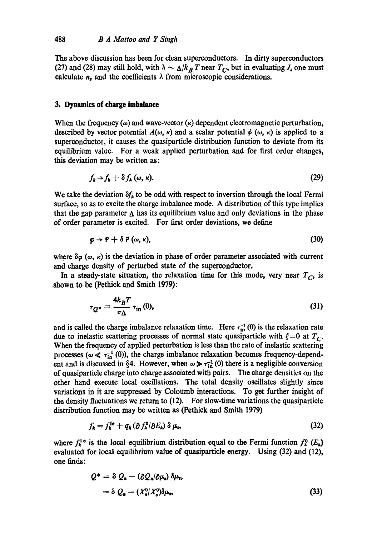The above discussion has been for clean superconductors. In dirty superconductors (27) and (28) may still hold, with  $\lambda \sim \frac{\Lambda}{k_B} T$  near  $T_C$ , but in evaluating  $J_s$  one must calculate  $n_s$  and the coefficients  $\lambda$  from microscopic considerations.

### **3. Dynamics of charge imbalance**

When the frequency  $(\omega)$  and wave-vector  $(\kappa)$  dependent electromagnetic perturbation, described by vector potential  $A(\omega, \kappa)$  and a scalar potential  $\phi$  ( $\omega, \kappa$ ) is applied to a superconductor, it causes the quasiparticle distribution function to deviate from its equilibrium value. For a weak applied perturbation and for first order changes, this deviation may be written as:

$$
f_k \to f_k + \delta f_k \, (\omega, \kappa). \tag{29}
$$

We take the deviation  $\delta f_k$  to be odd with respect to inversion through the local Fermi surface, so as to excite the charge imbalance mode. A distribution of this type implies that the gap parameter  $\Delta$  has its equilibrium value and only deviations in the phase of order parameter is excited. For first order deviations, we define

$$
\boldsymbol{\varphi} \to \boldsymbol{\varphi} + \delta \, \boldsymbol{\varphi} \, (\omega, \kappa), \tag{30}
$$

where  $\delta \varphi$  ( $\omega$ ,  $\kappa$ ) is the deviation in phase of order parameter associated with current and charge density of perturbed state of the superconductor.

In a steady-state situation, the relaxation time for this mode, very near  $T_C$ , is shown to be (Pethick and Smith 1979):

$$
\tau_{Q^*} = \frac{4k_B T}{\pi \Delta} \tau_{\text{in}}(0),\tag{31}
$$

and is called the charge imbalance relaxation time. Here  $\tau_{in}^{-1}(0)$  is the relaxation rate due to inelastic scattering processes of normal state quasiparticle with  $\xi = 0$  at  $T_C$ . When the frequency of applied perturbation is less than the rate of inelastic scattering processes ( $\omega \ll \tau_{\text{in}}^{-1}(0)$ ), the charge imbalance relaxation becomes frequency-dependent and is discussed in §4. However, when  $\omega > \tau_{\text{in}}^{-1}$  (0) there is a negligible conversion of quasiparticle charge into charge associated with pairs. The charge densities on the other hand execute local oscillations. The total density oscillates slightly since variations in it are suppressed by Coloumb interactions. To get further insight of the density fluctuations we return to (12). For slow-time variations the quasiparticle distribution function may be wiitten as (Pethick and Smith 1979)

$$
f_{k} = f_{k}^{\text{le}} + q_{k} \left( \partial f_{k}^{0} / \partial E_{k} \right) \delta \mu_{s}, \tag{32}
$$

where  $f_k^1$ <sup>e</sup> is the local equilibrium distribution equal to the Fermi function  $f_k^0$  ( $E_k$ ) evaluated for local equilibrium value of quasiparticle energy. Using (32) and (12), one finds:

$$
Q^* = \delta Q_n - (\partial Q_n/\partial \mu_s) \delta \mu_s,
$$
  
=  $\delta Q_n - (X_n^0/X_s^0) \delta \mu_s,$  (33)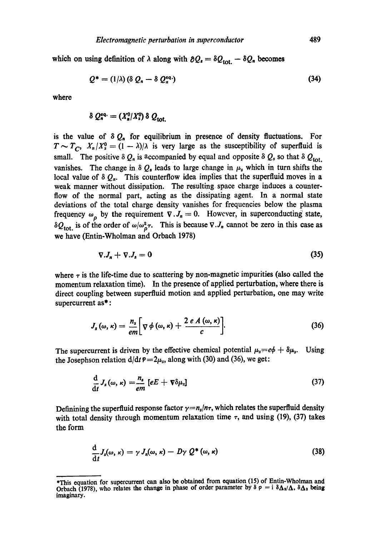which on using definition of  $\lambda$  along with  $\partial Q_i = \delta Q_{\text{tot.}} - \delta Q_n$  becomes

$$
Q^* = (1/\lambda) \left( \delta \ Q_n - \delta \ Q_n^{eq} \right) \tag{34}
$$

where

$$
\delta Q_n^{\text{eq.}} = (X_n^0 / X_s^0) \delta Q_{\text{tot.}}
$$

is the value of  $\delta Q_n$  for equilibrium in presence of density fluctuations. For  $T \sim T_c$ ,  $X_n/X_s^0 = (1 - \lambda)/\lambda$  is very large as the susceptibility of superfluid is small. The positive  $\delta Q_n$  is accompanied by equal and opposite  $\delta Q_s$  so that  $\delta Q_{tot}$ . vanishes. The change in  $\delta Q_s$  leads to large change in  $\mu_s$  which in turn shifts the local value of  $\delta Q_n$ . This counterflow idea implies that the superfluid moves in a weak manner without dissipation. The resulting space charge induces a counterflow of the normal part, acting as the dissipating agent. In a normal state deviations of the total charge density vanishes for frequencies below the plasma frequency  $\omega_{\rho}$  by the requirement  $\nabla \cdot J_n = 0$ . However, in superconducting state,  $\delta Q_{\text{tot}}$  is of the order of  $\omega/\omega_p^2 \tau$ . This is because  $\nabla J_n$  cannot be zero in this case as we have (Entin-Wholman and Orbach 1978)

$$
\nabla J_n + \nabla J_s = 0 \tag{35}
$$

where  $\tau$  is the life-time due to scattering by non-magnetic impurities (also called the momentum relaxation time). In the presence of applied perturbation, where there is direct coupling between superfluid motion and applied perturbation, one may write supercurrent as\*:

$$
J_s(\omega,\kappa)=\frac{n_s}{em}\bigg[\nabla\phi\left(\omega,\kappa\right)+\frac{2\,e\,A\left(\omega,\kappa\right)}{c}\bigg].\tag{36}
$$

The supercurrent is driven by the effective chemical potential  $\mu_s = e\phi + \delta\mu_s$ . Using the Josephson relation  $d/dt = 2\mu_s$ , along with (30) and (36), we get:

$$
\frac{\mathrm{d}}{\mathrm{d}t}J_s(\omega,\kappa)=\frac{n_s}{em}\left[eE+\nabla\delta\mu_s\right]
$$
\n(37)

Definining the superfluid response factor  $\gamma = n_s/n\tau$ , which relates the superfluid density with total density through momentum relaxation time  $\tau$ , and using (19), (37) takes the form

$$
\frac{\mathrm{d}}{\mathrm{d}t}J_{\mathrm{s}}(\omega,\kappa)=\gamma\,J_{n}(\omega,\kappa)-D\gamma\,\mathcal{Q}^{*}\left(\omega,\kappa\right) \tag{38}
$$

<sup>\*</sup>This equation for supercurrent can also be obtained from equation (15) of Entin-Wholman and Orbach (1978), who relates the change in phase of order parameter by  $\delta \varphi = i \delta \Delta_2 / \Delta$ ,  $\delta \Delta_2$  being imaginary.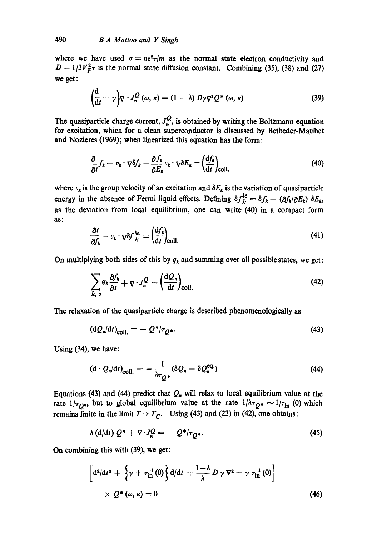where we have used  $\sigma = ne^2\tau/m$  as the normal state electron conductivity and  $D = 1/3V_F^2 \tau$  is the normal state diffusion constant. Combining (35), (38) and (27) we get:

$$
\left(\frac{d}{dt} + \gamma\right) \nabla \cdot J_n^Q\left(\omega, \kappa\right) = (1 - \lambda) D \gamma \nabla^2 Q^* \left(\omega, \kappa\right) \tag{39}
$$

The quasiparticle charge current,  $J_{n}^{Q}$ , is obtained by writing the Boltzmann equation for excitation, which for a clean superconductor is discussed by Betbeder-Matibet and Nozieres (1969); when linearized this equation has the form:

$$
\frac{\partial}{\partial t}f_k + v_k \cdot \nabla \delta f_k - \frac{\partial f_k}{\partial E_k} v_k \cdot \nabla \delta E_k = \left(\frac{\mathrm{d}f_k}{\mathrm{d}t}\right)_{\text{coll.}} \tag{40}
$$

where  $v_k$  is the group velocity of an excitation and  $\delta E_k$  is the variation of quasiparticle energy in the absence of Fermi liquid effects. Defining  $\delta f^{le}_k = \delta f_k - (\partial f_k/\partial E_k) \delta E_k$ , as the deviation from local equilibrium, one can write (40) in a compact form as;

$$
\frac{\partial t}{\partial f_k} + v_k \cdot \nabla \delta f_k^{le} = \left(\frac{\mathrm{d} f_k}{\mathrm{d} t}\right)_{\text{coll.}} \tag{41}
$$

On multiplying both sides of this by  $q_k$  and summing over all possible states, we get:

$$
\sum_{k, \sigma} q_k \frac{\partial f_k}{\partial t} + \nabla \cdot J_n^Q = \left(\frac{\mathrm{d}Q_n}{\mathrm{d}t}\right)_{\text{coll.}} \tag{42}
$$

The relaxation of the quasiparticle charge is described phenomenologically as

$$
\left(\mathrm{d}Q_{n}/\mathrm{d}t\right)_{\text{coll.}} = -Q^{*}/\tau_{Q^{*}}.\tag{43}
$$

Using (34), we have:

$$
\left(\mathbf{d} \cdot \mathcal{Q}_n/\mathbf{d}t\right)_{\text{coll.}} = -\frac{1}{\lambda \tau_Q \cdot \mathbf{d}} (\delta \mathcal{Q}_n - \delta \mathcal{Q}_n^{\text{eq.}}) \tag{44}
$$

Equations (43) and (44) predict that  $Q_n$  will relax to local equilibrium value at the rate  $1/\tau_{Q^*}$ , but to global equilibrium value at the rate  $1/\lambda \tau_{Q^*} \sim 1/\tau_{in}$  (0) which remains finite in the limit  $T \rightarrow T_C$ . Using (43) and (23) in (42), one obtains:

$$
\lambda \left( d/dt \right) Q^* + \nabla \cdot J_n^Q = - Q^* / \tau_{Q^*}.
$$
\n(45)

**On** combining this with (39), we get:

$$
\left[d^{2}/dt^{2} + \left\{\gamma + \tau_{\text{in}}^{-1}(0)\right\}d/dt + \frac{1-\lambda}{\lambda}D\gamma\nabla^{2} + \gamma\tau_{\text{in}}^{-1}(0)\right] \times Q^{*}(\omega,\kappa) = 0
$$
\n(46)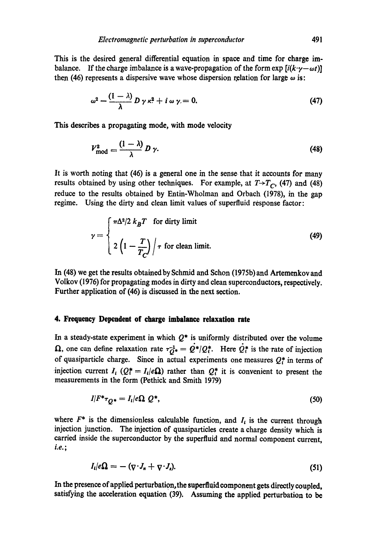This is the desired general differential equation in space and time for charge imbalance. If the charge imbalance is a wave-propagation of the form  $\exp[i(k\cdot\gamma-\omega t)]$ then (46) represents a dispersive wave whose dispersion relation for large  $\omega$  is:

$$
\omega^2 - \frac{(1-\lambda)}{\lambda} D \gamma \kappa^2 + i \omega \gamma = 0. \tag{47}
$$

This describes a propagating mode, with mode velocity

$$
V_{\text{mod}}^2 = \frac{(1-\lambda)}{\lambda} D \gamma. \tag{48}
$$

It is worth noting that (46) is a general one in the sense that it accounts for many results obtained by using other techniques. For example, at  $T \rightarrow T_c$ , (47) and (48) reduce to the results obtained by Entin-Wholman and Orbach (1978), in the gap regime. Using the dirty and clean limit values of superfluid response factor:

$$
\gamma = \begin{cases} \pi \Delta^2 / 2 k_B T & \text{for dirty limit} \\ 2 \left( 1 - \frac{T}{T_C} \right) / \tau & \text{for clean limit.} \end{cases}
$$
(49)

In (48) we get the results obtained by Schmid and Schon (1975b) and Artemenkov and Volkov (1976) for propagating modes in dirty and clean superconductors, respectively. Further application of (46) is discussed in the next section.

#### **4. Frequency Dependent of charge imbalance relaxation rate**

In a steady-state experiment in which  $Q^*$  is uniformly distributed over the volume  $\Omega$ , one can define relaxation rate  $\tau_{Q^*}^{-1} = \dot{Q}^*/Q_t^*$ . Here  $\dot{Q}_t^*$  is the rate of injection of quasiparticle charge. Since in actual experiments one measures  $Q_t^*$  in terms of injection current  $I_i$  ( $Q_i^* = I_i/e\Omega$ ) rather than  $Q_i^*$  it is convenient to present the measurements in the form (Pethick and Smith 1979)

$$
I/F^*\tau_{Q^*} = I_t/e\Omega Q^*,\tag{50}
$$

where  $F^*$  is the dimensionless calculable function, and  $I_t$  is the current through injection junction. The injection of quasiparticles create a charge density which is carried inside the superconductor by the supcrfluid and normal component current, *i.e.;* 

$$
I_i/e\Omega = -(\nabla \cdot J_n + \nabla \cdot J_s). \tag{51}
$$

In the presence of applied perturbation, the superfluid component gets directly coupled, satisfying the acceleration equation (39). Assuming the applied perturbation to be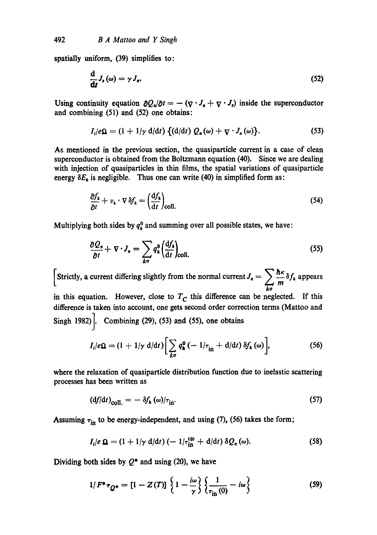spatially uniform, (39) simplifies to:

$$
\frac{\mathrm{d}}{\mathrm{d}t}J_{s}(\omega)=\gamma J_{n}.\tag{52}
$$

Using continuity equation  $\partial Q_n/\partial t = -(\nabla \cdot J_n + \nabla \cdot J_s)$  inside the superconductor and combining (51) and (52) one obtains:

$$
I_i/e\Omega = (1 + 1/\gamma \ d/dt) \{ (d/dt) Q_n(\omega) + \nabla \cdot J_n(\omega) \}.
$$
 (53)

As mentioned in the previous section, the quasiparticle current in a case of clean superconductor is obtained from the Boltzmann equation (40). Since we are dealing with injection of quasiparticles in thin films, the spatial variations of quasiparticle energy  $\delta E_k$  is negligible. Thus one can write (40) in simplified form as:

$$
\frac{\partial f_k}{\partial t} + v_k \cdot \nabla \, \delta f_k = \left(\frac{\mathrm{d} f_k}{\mathrm{d} t}\right)_{\text{coll.}} \tag{54}
$$

Multiplying both sides by  $q_k^0$  and summing over all possible states, we have:

$$
\frac{\partial Q_n}{\partial t} + \nabla \cdot J_n = \sum_{k\sigma} q_k^0 \left(\frac{\mathrm{d} f_k}{\mathrm{d} t}\right)_{\text{coll.}} \tag{55}
$$

Strictly, a current differing slightly from the normal current  $J_n = \sum_{m} \frac{\hbar \kappa}{m} \delta f_k$  appears ka

in this equation. However, close to  $T<sub>C</sub>$  this difference can be neglected. If this difference is taken into account, one gets second order correction terms (Mattoo and Singh 1982). Combining  $(29)$ ,  $(53)$  and  $(55)$ , one obtains

$$
I_i/e\Omega = (1 + 1/\gamma \ d/dt) \bigg[\sum_{k\sigma} q_k^0 \left(-1/\tau_{\text{in}} + d/dt\right) \delta f_k(\omega)\bigg],\tag{56}
$$

where the relaxation of quasiparticle distribution function due to inelastic scattering processes has been written as

$$
\left(\mathrm{d}f/\mathrm{d}t\right)_{\mathrm{coll.}} = -\delta f_k\left(\omega\right)/\tau_{\mathrm{in}}.\tag{57}
$$

Assuming  $\tau_{\text{in}}$  to be energy-independent, and using (7), (56) takes the form;

$$
I_i/e \Omega = (1 + 1/\gamma \mathrm{d/dt}) \left( -1/\tau_{\mathrm{in}}^{(0)} + \mathrm{d/dt} \right) \delta Q_n(\omega).
$$
 (58)

Dividing both sides by  $Q^*$  and using (20), we have

$$
1/F^* \tau_{Q^*} = [1 - Z(T)] \left\{ 1 - \frac{i\omega}{\gamma} \right\} \left\{ \frac{1}{\tau_{\text{in}}(0)} - i\omega \right\}
$$
 (59)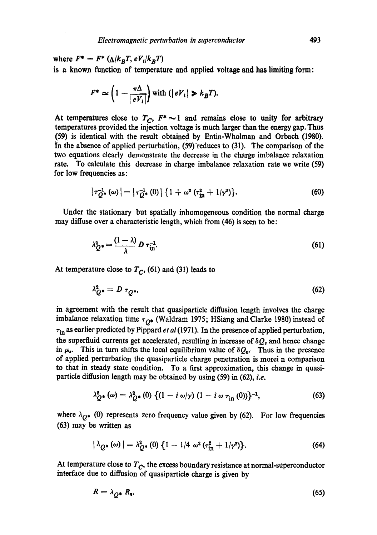where  $F^* = F^*$  ( $\Delta/k_B T$ ,  $eV_i/k_B T$ ) is a known function of temperature and applied voltage and has limiting form:

$$
F^* \simeq \left(1 - \frac{\pi \Delta}{|eV_i|}\right) \text{ with } (|eV_i| > k_B T).
$$

At temperatures close to  $T_C$ ,  $F^* \sim 1$  and remains close to unity for arbitrary temperatures provided the injection voltage is much larger than the energy gap. Thus (59) is identical with the result obtained by Entin-Wholman and Orbach (1980). In the absence of applied perturbation,  $(59)$  reduces to  $(31)$ . The comparison of the two equations clearly demonstrate the decrease in the charge imbalance relaxation rate. To calculate this decrease in charge imbalance relaxation rate we write (59) for low frequencies as:

$$
|\tau_{Q^*}^{-1}(\omega)| = |\tau_{Q^*}^{-1}(0)| \{ 1 + \omega^2 (\tau_{\text{in}}^2 + 1/\gamma^2) \}.
$$
 (60)

Under the stationary but spatially inhomogeneous condition the normal charge may diffuse over a characteristic length, which from  $(46)$  is seen to be:

$$
\lambda_Q^2 \cdot = \frac{(1-\lambda)}{\lambda} D \tau_{\text{in}}^{-1}.
$$
 (61)

At temperature close to  $T_C$ , (61) and (31) leads to

$$
\lambda_{Q^*}^2 = D \tau_{Q^*},\tag{62}
$$

in agreement with the result that quasiparticle diffusion length involves the charge imbalance relaxation time  $\tau_{Q^*}$  (Waldram 1975; HSiang and Clarke 1980) instead of  $\tau_{\text{in}}$  as earlier predicted by Pippard *et al* (1971). In the presence of applied perturbation, the superfluid currents get accelerated, resulting in increase of  $\delta Q_s$  and hence change in  $\mu_s$ . This in turn shifts the local equilibrium value of  $\delta Q_n$ . Thus in the presence of applied perturbation the quasiparticle charge penetration is morei n comparison to that in steady state condition. To a first approximation, this change in quasiparticle diffusion length may be obtained by using (59) in (62), *i.e.* 

$$
\lambda_{Q^*}^2(\omega) = \lambda_{Q^*}^2(0) \left\{ (1 - i \omega/\gamma) (1 - i \omega \tau_{\text{in}}(0)) \right\}^{-1}, \tag{63}
$$

where  $\lambda_{Q^*}$  (0) represents zero frequency value given by (62). For low frequencies (63) may b¢ written as

$$
|\lambda_{Q^*}(\omega)| = \lambda_{Q^*}^2(0) \{1 - 1/4 \omega^2 (\tau_{\text{in}}^2 + 1/\gamma^2)\}.
$$
 (64)

At temperature close to  $T_c$ , the excess boundary resistance at normal-superconductor interface due to diffusion of quasiparticle charge is given by

$$
R = \lambda_{Q^*} R_n. \tag{65}
$$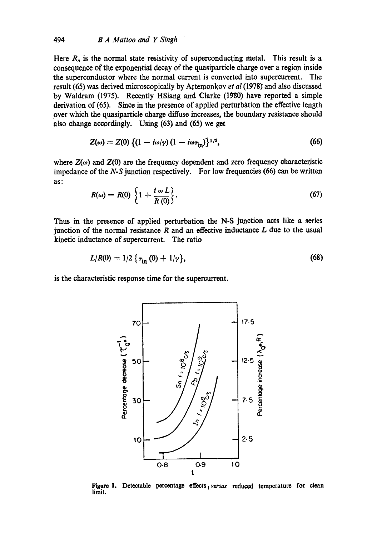### 494 *B A Mattoo and Y Singh*

Here  $R_n$  is the normal state resistivity of superconducting metal. This result is a consequence of the exponential decay of the quasiparticle charge over a region inside the superconductor where the normal current is converted into supercurrent. The result (65) was derived microscopically by Artemonkov *et al* (1978) and also discussed by Waldram (1975). Recently HSiang and Clarke (1980) have reported a simple derivation of (65). Since in the presence of applied perturbation the effective length over which the quasipartide charge diffuse increases, the boundary resistance should also change accordingly. Using (63) and (65) we get

$$
Z(\omega) = Z(0) \{ (1 - i\omega/\gamma) (1 - i\omega \tau_{\rm in}) \}^{1/2},
$$
 (66)

where  $Z(\omega)$  and  $Z(0)$  are the frequency dependent and zero frequency characteristic impedance of the N-S junction respectively. For low frequencies (66) can be written as:

$$
R(\omega) = R(0) \left\{ 1 + \frac{i \omega L}{R(0)} \right\}.
$$
 (67)

Thus in the presence of applied perturbation the N-S junction acts like a series junction of the normal resistance  $R$  and an effective inductance  $L$  due to the usual kinetic inductance of supercurrent. The ratio

$$
L/R(0) = 1/2 \{ \tau_{\text{in}}(0) + 1/\gamma \}, \tag{68}
$$

is the characteristic response time for the supercurrent.



Figure 1. Detectable percentage effects *versus* reduced temperature for clean limit.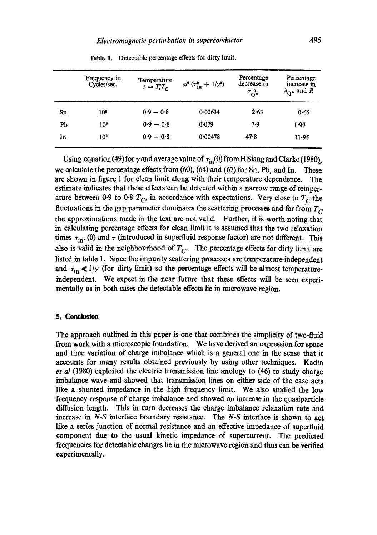|    | Frequency in<br>Cycles/sec. | Temperature<br>$t = T/T_c$ | $\omega^2$ ( $\tau_{\rm in}^2 + 1/\gamma^2$ ) | Percentage<br>decrease in<br>$\tau_{\mathbf{Q}^*}^{-1}$ | Percentage<br>increase in<br>$\lambda_{\Omega^*}$ and R |
|----|-----------------------------|----------------------------|-----------------------------------------------|---------------------------------------------------------|---------------------------------------------------------|
| Sn | 10*                         | $0.9 - 0.8$                | 0.02634                                       | 2.63                                                    | 0.65                                                    |
| Pb | 10 <sup>9</sup>             | $0.9 - 0.8$                | 0.079                                         | 7.9                                                     | 1.97                                                    |
| In | 10 <sup>9</sup>             | $0.9 - 0.8$                | 0.00478                                       | 47.8                                                    | 11.95                                                   |

Table 1. Detectable percentage effects for dirty hmit.

Using equation (49) for  $\gamma$  and average value of  $\tau_{in}(0)$  from H Siang and Clarke (1980), we calculate the percentage effects from (60), (64) and (67) for Sn, Pb, and In. These are shown in figure 1 for clean limit along with their temperature dependence. The estimate indicates that these effects can be detected within a narrow range of temperature between 0.9 to 0.8  $T_c$ , in accordance with expectations. Very close to  $T_c$  the fluctuations in the gap parameter dominates the scattering processes and far from *T c*  the approximations made in the text are not valid. Further, it is worth noting that in calculating percentage effects for clean limit it is assumed that the two relaxation times  $\tau_{\text{in}}$ . (0) and  $\tau$  (introduced in superfluid response factor) are not different. This also is valid in the neighbourhood of  $T_C$ . The percentage effects for dirty limit are listed in table 1. Since the impurity scattering processes are temperature-independent and  $\tau_{\text{in}} \ll 1/\gamma$  (for dirty limit) so the percentage effects will be almost temperatureindependent. We expect in the near future that these effects will be seen experimentally as in both cases the detectable effects lie in microwave region.

#### **5. Conclusion**

The approach outlined in this paper is one that combines the simplicity of two-fluid from work with a microscopic foundation. We have derived an expression for space and time variation of charge imbalance which is a general one in the sense that it accounts for many results obtained previously by using other techniques. Kadin *et al* (1980) exploited the electric transmission line anology to (46) to study charge imbalance wave and showed that transmission lines on either side of the case acts like a shunted impedance in the high frcquency limit. We also studied the low frequency response of charge imbalance and showed an increase in the quasiparticle diffusion length. This in turn decreases the charge imbalance relaxation rate and increase in *N-S* interface boundary resistance. The *N-S* interface is shown to act like a series junction of normal resistance and an effective impedance of superfluid component due to the usual kinetic impedance of supercurrent. The predicted frequencics for detectable changes lie in the microwave region and thus can be verified experimentally.